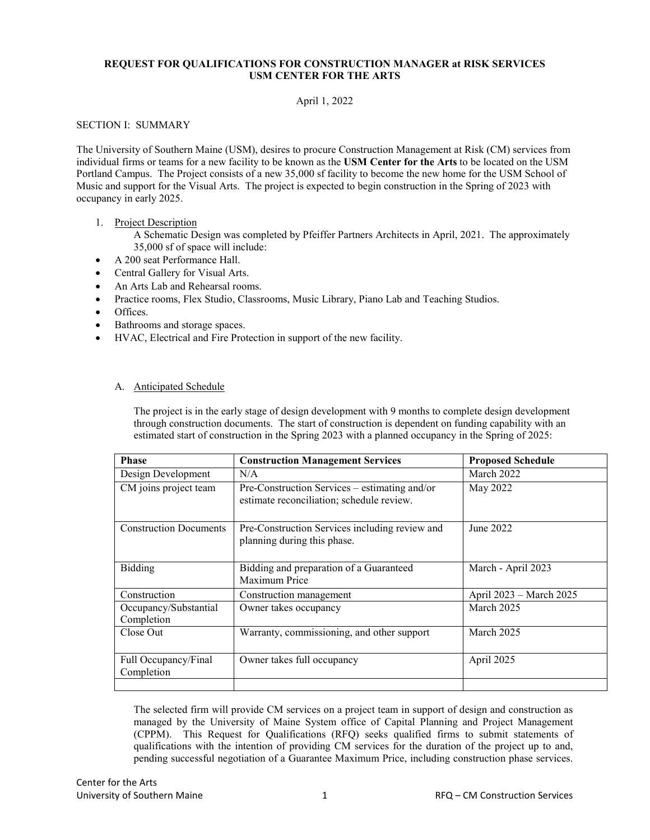# **REQUEST FOR QUALIFICATIONS FOR CONSTRUCTION MANAGER at RISK SERVICES USM CENTER FOR THE ARTS**

# April 1, 2022

## SECTION I: SUMMARY

The University of Southern Maine (USM), desires to procure Construction Management at Risk (CM) services from individual firms or teams for a new facility to be known as the **USM Center for the Arts** to be located on the USM Portland Campus. The Project consists of a new 35,000 sf facility to become the new home for the USM School of Music and support for the Visual Arts. The project is expected to begin construction in the Spring of 2023 with occupancy in early 2025.

#### 1. Project Description

A Schematic Design was completed by Pfeiffer Partners Architects in April, 2021. The approximately 35,000 sf of space will include:

- A 200 seat Performance Hall.
- Central Gallery for Visual Arts.
- An Arts Lab and Rehearsal rooms.
- Practice rooms, Flex Studio, Classrooms, Music Library, Piano Lab and Teaching Studios.
- Offices.
- Bathrooms and storage spaces.
- HVAC, Electrical and Fire Protection in support of the new facility.

#### A. Anticipated Schedule

The project is in the early stage of design development with 9 months to complete design development through construction documents. The start of construction is dependent on funding capability with an estimated start of construction in the Spring 2023 with a planned occupancy in the Spring of 2025:

| <b>Phase</b>                        | <b>Construction Management Services</b>                                                    | <b>Proposed Schedule</b> |
|-------------------------------------|--------------------------------------------------------------------------------------------|--------------------------|
| Design Development                  | N/A                                                                                        | March 2022               |
| CM joins project team               | Pre-Construction Services – estimating and/or<br>estimate reconciliation; schedule review. | May 2022                 |
| <b>Construction Documents</b>       | Pre-Construction Services including review and<br>planning during this phase.              | June 2022                |
| Bidding                             | Bidding and preparation of a Guaranteed<br>Maximum Price                                   | March - April 2023       |
| Construction                        | Construction management                                                                    | April 2023 – March 2025  |
| Occupancy/Substantial<br>Completion | Owner takes occupancy                                                                      | March 2025               |
| Close Out                           | Warranty, commissioning, and other support                                                 | March 2025               |
| Full Occupancy/Final<br>Completion  | Owner takes full occupancy                                                                 | April 2025               |
|                                     |                                                                                            |                          |

The selected firm will provide CM services on a project team in support of design and construction as managed by the University of Maine System office of Capital Planning and Project Management (CPPM). This Request for Qualifications (RFQ) seeks qualified firms to submit statements of qualifications with the intention of providing CM services for the duration of the project up to and, pending successful negotiation of a Guarantee Maximum Price, including construction phase services.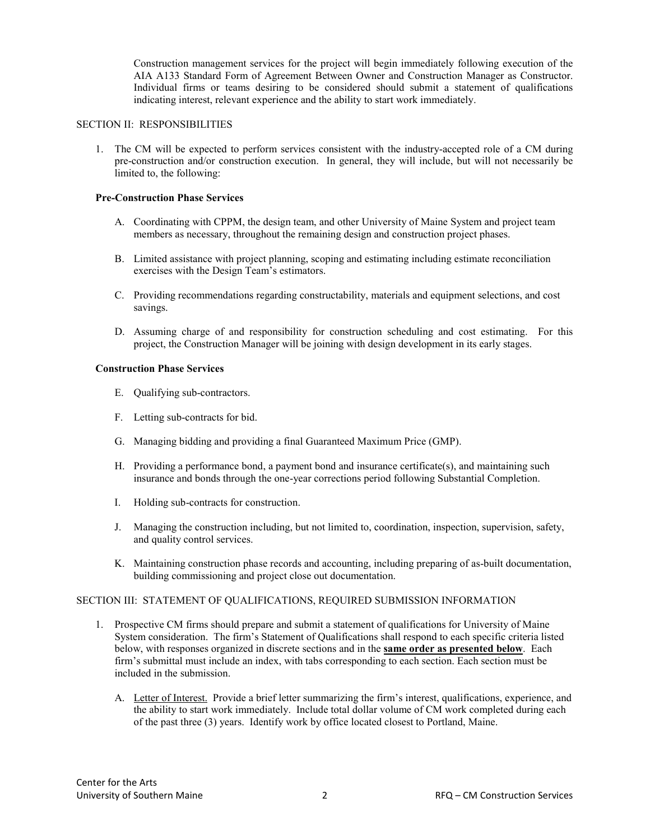Construction management services for the project will begin immediately following execution of the AIA A133 Standard Form of Agreement Between Owner and Construction Manager as Constructor. Individual firms or teams desiring to be considered should submit a statement of qualifications indicating interest, relevant experience and the ability to start work immediately.

#### SECTION II: RESPONSIBILITIES

1. The CM will be expected to perform services consistent with the industry-accepted role of a CM during pre-construction and/or construction execution. In general, they will include, but will not necessarily be limited to, the following:

#### **Pre-Construction Phase Services**

- A. Coordinating with CPPM, the design team, and other University of Maine System and project team members as necessary, throughout the remaining design and construction project phases.
- B. Limited assistance with project planning, scoping and estimating including estimate reconciliation exercises with the Design Team's estimators.
- C. Providing recommendations regarding constructability, materials and equipment selections, and cost savings.
- D. Assuming charge of and responsibility for construction scheduling and cost estimating. For this project, the Construction Manager will be joining with design development in its early stages.

#### **Construction Phase Services**

- E. Qualifying sub-contractors.
- F. Letting sub-contracts for bid.
- G. Managing bidding and providing a final Guaranteed Maximum Price (GMP).
- H. Providing a performance bond, a payment bond and insurance certificate(s), and maintaining such insurance and bonds through the one-year corrections period following Substantial Completion.
- I. Holding sub-contracts for construction.
- J. Managing the construction including, but not limited to, coordination, inspection, supervision, safety, and quality control services.
- K. Maintaining construction phase records and accounting, including preparing of as-built documentation, building commissioning and project close out documentation.

# SECTION III: STATEMENT OF QUALIFICATIONS, REQUIRED SUBMISSION INFORMATION

- 1. Prospective CM firms should prepare and submit a statement of qualifications for University of Maine System consideration. The firm's Statement of Qualifications shall respond to each specific criteria listed below, with responses organized in discrete sections and in the **same order as presented below**. Each firm's submittal must include an index, with tabs corresponding to each section. Each section must be included in the submission.
	- A. Letter of Interest. Provide a brief letter summarizing the firm's interest, qualifications, experience, and the ability to start work immediately. Include total dollar volume of CM work completed during each of the past three (3) years. Identify work by office located closest to Portland, Maine.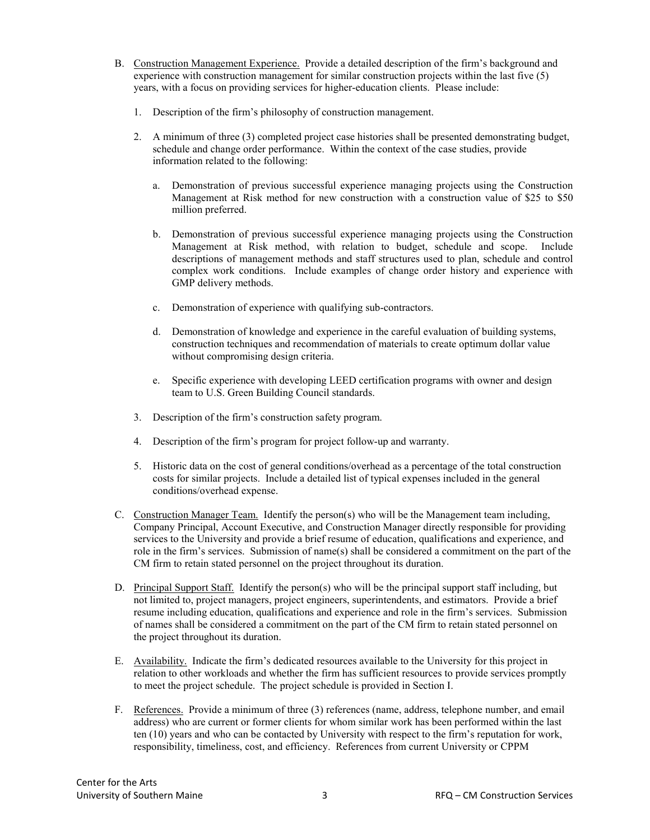- B. Construction Management Experience. Provide a detailed description of the firm's background and experience with construction management for similar construction projects within the last five (5) years, with a focus on providing services for higher-education clients. Please include:
	- 1. Description of the firm's philosophy of construction management.
	- 2. A minimum of three (3) completed project case histories shall be presented demonstrating budget, schedule and change order performance. Within the context of the case studies, provide information related to the following:
		- a. Demonstration of previous successful experience managing projects using the Construction Management at Risk method for new construction with a construction value of \$25 to \$50 million preferred.
		- b. Demonstration of previous successful experience managing projects using the Construction Management at Risk method, with relation to budget, schedule and scope. Include descriptions of management methods and staff structures used to plan, schedule and control complex work conditions. Include examples of change order history and experience with GMP delivery methods.
		- c. Demonstration of experience with qualifying sub-contractors.
		- d. Demonstration of knowledge and experience in the careful evaluation of building systems, construction techniques and recommendation of materials to create optimum dollar value without compromising design criteria.
		- e. Specific experience with developing LEED certification programs with owner and design team to U.S. Green Building Council standards.
	- 3. Description of the firm's construction safety program.
	- 4. Description of the firm's program for project follow-up and warranty.
	- 5. Historic data on the cost of general conditions/overhead as a percentage of the total construction costs for similar projects. Include a detailed list of typical expenses included in the general conditions/overhead expense.
- C. Construction Manager Team. Identify the person(s) who will be the Management team including, Company Principal, Account Executive, and Construction Manager directly responsible for providing services to the University and provide a brief resume of education, qualifications and experience, and role in the firm's services. Submission of name(s) shall be considered a commitment on the part of the CM firm to retain stated personnel on the project throughout its duration.
- D. Principal Support Staff. Identify the person(s) who will be the principal support staff including, but not limited to, project managers, project engineers, superintendents, and estimators. Provide a brief resume including education, qualifications and experience and role in the firm's services. Submission of names shall be considered a commitment on the part of the CM firm to retain stated personnel on the project throughout its duration.
- E. Availability. Indicate the firm's dedicated resources available to the University for this project in relation to other workloads and whether the firm has sufficient resources to provide services promptly to meet the project schedule. The project schedule is provided in Section I.
- F. References. Provide a minimum of three (3) references (name, address, telephone number, and email address) who are current or former clients for whom similar work has been performed within the last ten (10) years and who can be contacted by University with respect to the firm's reputation for work, responsibility, timeliness, cost, and efficiency. References from current University or CPPM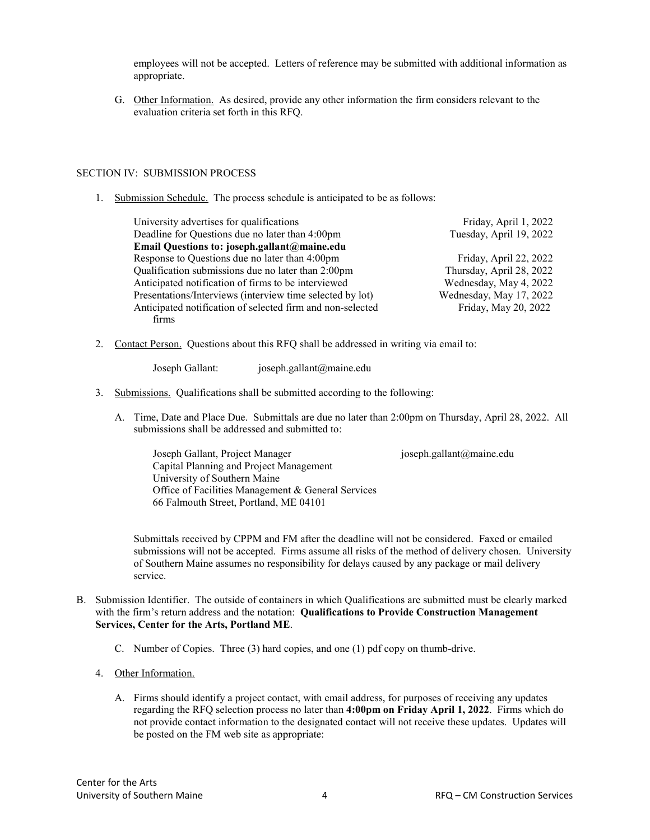employees will not be accepted. Letters of reference may be submitted with additional information as appropriate.

G. Other Information. As desired, provide any other information the firm considers relevant to the evaluation criteria set forth in this RFQ.

## SECTION IV: SUBMISSION PROCESS

1. Submission Schedule. The process schedule is anticipated to be as follows:

| University advertises for qualifications                   | Friday, April 1, 2022    |
|------------------------------------------------------------|--------------------------|
| Deadline for Questions due no later than 4:00pm            | Tuesday, April 19, 2022  |
| Email Questions to: joseph.gallant@maine.edu               |                          |
| Response to Questions due no later than 4:00pm             | Friday, April 22, 2022   |
| Qualification submissions due no later than 2:00pm         | Thursday, April 28, 2022 |
| Anticipated notification of firms to be interviewed        | Wednesday, May 4, 2022   |
| Presentations/Interviews (interview time selected by lot)  | Wednesday, May 17, 2022  |
| Anticipated notification of selected firm and non-selected | Friday, May 20, 2022     |
| firms                                                      |                          |

2. Contact Person. Questions about this RFQ shall be addressed in writing via email to:

Joseph Gallant: joseph.gallant@maine.edu

- 3. Submissions. Qualifications shall be submitted according to the following:
	- A. Time, Date and Place Due. Submittals are due no later than 2:00pm on Thursday, April 28, 2022. All submissions shall be addressed and submitted to:

Joseph Gallant, Project Manager joseph.gallant@maine.edu Capital Planning and Project Management University of Southern Maine Office of Facilities Management & General Services 66 Falmouth Street, Portland, ME 04101

Submittals received by CPPM and FM after the deadline will not be considered. Faxed or emailed submissions will not be accepted. Firms assume all risks of the method of delivery chosen. University of Southern Maine assumes no responsibility for delays caused by any package or mail delivery service.

- B. Submission Identifier. The outside of containers in which Qualifications are submitted must be clearly marked with the firm's return address and the notation: **Qualifications to Provide Construction Management Services, Center for the Arts, Portland ME**.
	- C. Number of Copies. Three (3) hard copies, and one (1) pdf copy on thumb-drive.
	- 4. Other Information.
		- A. Firms should identify a project contact, with email address, for purposes of receiving any updates regarding the RFQ selection process no later than **4:00pm on Friday April 1, 2022**. Firms which do not provide contact information to the designated contact will not receive these updates. Updates will be posted on the FM web site as appropriate: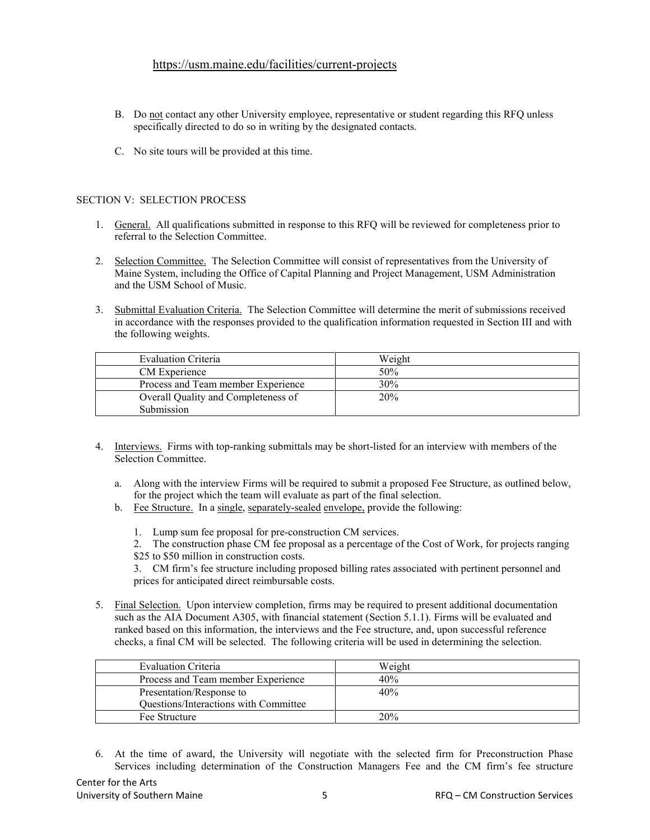# <https://usm.maine.edu/facilities/current-projects>

- B. Do not contact any other University employee, representative or student regarding this RFQ unless specifically directed to do so in writing by the designated contacts.
- C. No site tours will be provided at this time.

# SECTION V: SELECTION PROCESS

- 1. General. All qualifications submitted in response to this RFQ will be reviewed for completeness prior to referral to the Selection Committee.
- 2. Selection Committee. The Selection Committee will consist of representatives from the University of Maine System, including the Office of Capital Planning and Project Management, USM Administration and the USM School of Music.
- 3. Submittal Evaluation Criteria. The Selection Committee will determine the merit of submissions received in accordance with the responses provided to the qualification information requested in Section III and with the following weights.

| Evaluation Criteria                 | Weight |
|-------------------------------------|--------|
| CM Experience                       | 50%    |
| Process and Team member Experience  | 30%    |
| Overall Quality and Completeness of | 20%    |
| Submission                          |        |

- 4. Interviews. Firms with top-ranking submittals may be short-listed for an interview with members of the Selection Committee.
	- a. Along with the interview Firms will be required to submit a proposed Fee Structure, as outlined below, for the project which the team will evaluate as part of the final selection.
	- b. Fee Structure. In a single, separately-sealed envelope, provide the following:
		- 1. Lump sum fee proposal for pre-construction CM services.
		- 2. The construction phase CM fee proposal as a percentage of the Cost of Work, for projects ranging
		- \$25 to \$50 million in construction costs.

3. CM firm's fee structure including proposed billing rates associated with pertinent personnel and prices for anticipated direct reimbursable costs.

5. Final Selection. Upon interview completion, firms may be required to present additional documentation such as the AIA Document A305, with financial statement (Section 5.1.1). Firms will be evaluated and ranked based on this information, the interviews and the Fee structure, and, upon successful reference checks, a final CM will be selected. The following criteria will be used in determining the selection.

| Evaluation Criteria                          | Weight |
|----------------------------------------------|--------|
| Process and Team member Experience           | 40%    |
| Presentation/Response to                     | 40%    |
| <b>Questions/Interactions with Committee</b> |        |
| Fee Structure                                | 20%    |

6. At the time of award, the University will negotiate with the selected firm for Preconstruction Phase Services including determination of the Construction Managers Fee and the CM firm's fee structure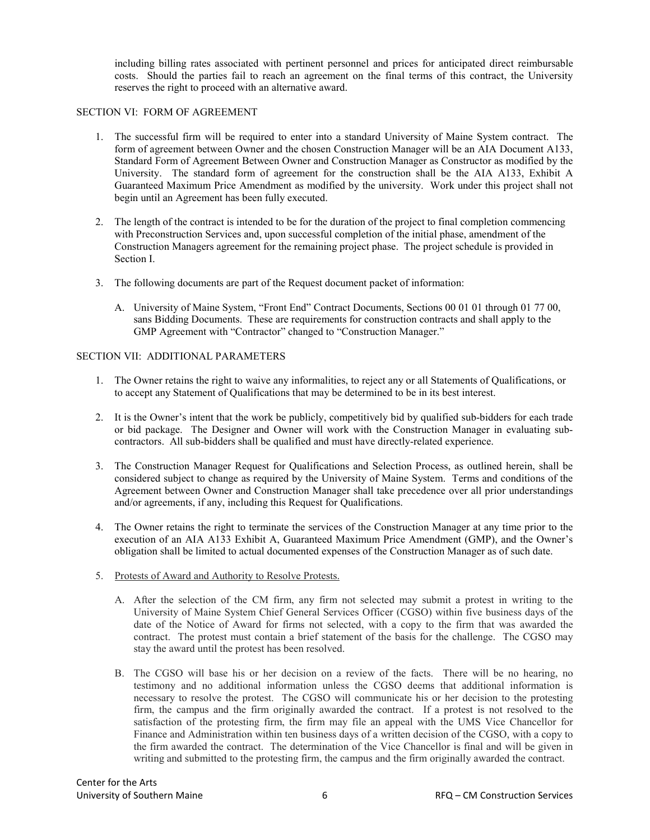including billing rates associated with pertinent personnel and prices for anticipated direct reimbursable costs. Should the parties fail to reach an agreement on the final terms of this contract, the University reserves the right to proceed with an alternative award.

## SECTION VI: FORM OF AGREEMENT

- 1. The successful firm will be required to enter into a standard University of Maine System contract. The form of agreement between Owner and the chosen Construction Manager will be an AIA Document A133, Standard Form of Agreement Between Owner and Construction Manager as Constructor as modified by the University. The standard form of agreement for the construction shall be the AIA A133, Exhibit A Guaranteed Maximum Price Amendment as modified by the university. Work under this project shall not begin until an Agreement has been fully executed.
- 2. The length of the contract is intended to be for the duration of the project to final completion commencing with Preconstruction Services and, upon successful completion of the initial phase, amendment of the Construction Managers agreement for the remaining project phase. The project schedule is provided in Section I.
- 3. The following documents are part of the Request document packet of information:
	- A. University of Maine System, "Front End" Contract Documents, Sections 00 01 01 through 01 77 00, sans Bidding Documents. These are requirements for construction contracts and shall apply to the GMP Agreement with "Contractor" changed to "Construction Manager."

#### SECTION VII: ADDITIONAL PARAMETERS

- 1. The Owner retains the right to waive any informalities, to reject any or all Statements of Qualifications, or to accept any Statement of Qualifications that may be determined to be in its best interest.
- 2. It is the Owner's intent that the work be publicly, competitively bid by qualified sub-bidders for each trade or bid package. The Designer and Owner will work with the Construction Manager in evaluating subcontractors. All sub-bidders shall be qualified and must have directly-related experience.
- 3. The Construction Manager Request for Qualifications and Selection Process, as outlined herein, shall be considered subject to change as required by the University of Maine System. Terms and conditions of the Agreement between Owner and Construction Manager shall take precedence over all prior understandings and/or agreements, if any, including this Request for Qualifications.
- 4. The Owner retains the right to terminate the services of the Construction Manager at any time prior to the execution of an AIA A133 Exhibit A, Guaranteed Maximum Price Amendment (GMP), and the Owner's obligation shall be limited to actual documented expenses of the Construction Manager as of such date.
- 5. Protests of Award and Authority to Resolve Protests.
	- A. After the selection of the CM firm, any firm not selected may submit a protest in writing to the University of Maine System Chief General Services Officer (CGSO) within five business days of the date of the Notice of Award for firms not selected, with a copy to the firm that was awarded the contract. The protest must contain a brief statement of the basis for the challenge. The CGSO may stay the award until the protest has been resolved.
	- B. The CGSO will base his or her decision on a review of the facts. There will be no hearing, no testimony and no additional information unless the CGSO deems that additional information is necessary to resolve the protest. The CGSO will communicate his or her decision to the protesting firm, the campus and the firm originally awarded the contract. If a protest is not resolved to the satisfaction of the protesting firm, the firm may file an appeal with the UMS Vice Chancellor for Finance and Administration within ten business days of a written decision of the CGSO, with a copy to the firm awarded the contract. The determination of the Vice Chancellor is final and will be given in writing and submitted to the protesting firm, the campus and the firm originally awarded the contract.